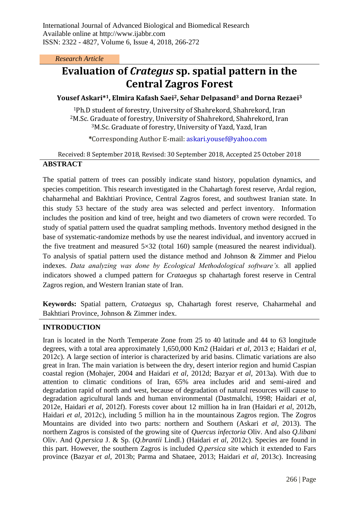*Research Article*

# **Evaluation of** *Crategus* **sp. spatial pattern in the Central Zagros Forest**

## **Yousef Askari\* <sup>1</sup>, Elmira Kafash Saei2, Sehar Delpasand<sup>3</sup> and Dorna Rezaei<sup>3</sup>**

<sup>1</sup>Ph.D student of forestry, University of Shahrekord, Shahrekord, Iran <sup>2</sup>M.Sc. Graduate of forestry, University of Shahrekord, Shahrekord, Iran <sup>3</sup>M.Sc. Graduate of forestry, University of Yazd, Yazd, Iran

**\***Corresponding Author E-mail: askari.yousef@yahoo.com

Received: 8 September 2018, Revised: 30 September 2018, Accepted 25 October 2018

#### **ABSTRACT**

The spatial pattern of trees can possibly indicate stand history, population dynamics, and species competition. This research investigated in the Chahartagh forest reserve, Ardal region, chaharmehal and Bakhtiari Province, Central Zagros forest, and southwest Iranian state. In this study 53 hectare of the study area was selected and perfect inventory. Information includes the position and kind of tree, height and two diameters of crown were recorded. To study of spatial pattern used the quadrat sampling methods. Inventory method designed in the base of systematic-randomize methods by use the nearest individual, and inventory accrued in the five treatment and measured 5×32 (total 160) sample (measured the nearest individual). To analysis of spatial pattern used the distance method and Johnson & Zimmer and Pielou indexes. *Data analyzing was done by Ecological Methodological software's.* all applied indicators showed a clumped pattern for *Crataegus* sp chahartagh forest reserve in Central Zagros region, and Western Iranian state of Iran.

**Keywords:** Spatial pattern, *Crataegus* sp, Chahartagh forest reserve, Chaharmehal and Bakhtiari Province, Johnson & Zimmer index.

# **INTRODUCTION**

Iran is located in the North Temperate Zone from 25 to 40 latitude and 44 to 63 longitude degrees, with a total area approximately 1,650,000 Km2 (Haidari *et al*, 2013 e; Haidari *et al*, 2012c). A large section of interior is characterized by arid basins. Climatic variations are also great in Iran. The main variation is between the dry, desert interior region and humid Caspian coastal region (Mohajer, 2004 and Haidari *et al*, 2012d; Bazyar *et al*, 2013a). With due to attention to climatic conditions of Iran, 65% area includes arid and semi-aired and degradation rapid of north and west, because of degradation of natural resources will cause to degradation agricultural lands and human environmental (Dastmalchi, 1998; Haidari *et al*, 2012e, Haidari *et al*, 2012f). Forests cover about 12 million ha in Iran (Haidari *et al*, 2012b, Haidari *et al*, 2012c), including 5 million ha in the mountainous Zagros region. The Zogros Mountains are divided into two parts: northern and Southern (Askari *et al*, 2013). The northern Zagros is consisted of the growing site of *Quercus infectoria* Oliv. And also *Q.libani* Oliv. And *Q.persica* J. & Sp. (*Q.brantii* Lindl.) (Haidari *et al*, 2012c). Species are found in this part. However, the southern Zagros is included *Q.persica* site which it extended to Fars province (Bazyar *et al*, 2013b; Parma and Shataee, 2013; Haidari *et al*, 2013c). Increasing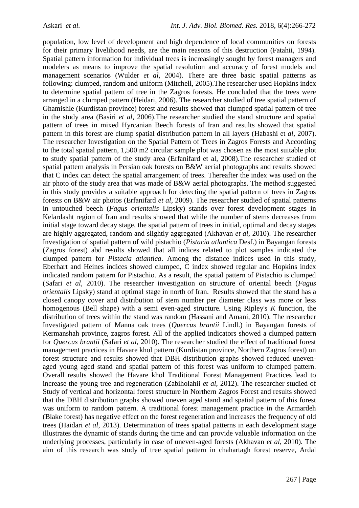population, low level of development and high dependence of local communities on forests for their primary livelihood needs, are the main reasons of this destruction (Fatahii, 1994). Spatial pattern information for individual trees is increasingly sought by forest managers and modelers as means to improve the spatial resolution and accuracy of forest models and management scenarios (Wulder *et al*, 2004). There are three basic spatial patterns as following: clumped, random and uniform (Mitchell, 2005).The researcher used Hopkins index to determine spatial pattern of tree in the Zagros forests. He concluded that the trees were arranged in a clumped pattern (Heidari, 2006). The researcher studied of tree spatial pattern of Ghamishle (Kurdistan province) forest and results showed that clumped spatial pattern of tree in the study area (Basiri *et al*, 2006).The researcher studied the stand structure and spatial pattern of trees in mixed Hyrcanian Beech forests of Iran and results showed that spatial pattern in this forest are clump spatial distribution pattern in all layers (Habashi et *al*, 2007). The researcher Investigation on the Spatial Pattern of Trees in Zagros Forests and According to the total spatial pattern, 1,500 m2 circular sample plot was chosen as the most suitable plot to study spatial pattern of the study area (Erfanifard et al, 2008).The researcher studied of spatial pattern analysis in Persian oak forests on B&W aerial photographs and results showed that C index can detect the spatial arrangement of trees. Thereafter the index was used on the air photo of the study area that was made of B&W aerial photographs. The method suggested in this study provides a suitable approach for detecting the spatial pattern of trees in Zagros forests on B&W air photos (Erfanifard *et al*, 2009). The researcher studied of spatial patterns in untouched beech (*Fagus orientalis* Lipsky) stands over forest development stages in Kelardasht region of Iran and results showed that while the number of stems decreases from initial stage toward decay stage, the spatial pattern of trees in initial, optimal and decay stages are highly aggregated, random and slightly aggregated (Akhavan *et al*, 2010). The researcher Investigation of spatial pattern of wild pistachio (*Pistacia atlantica* Desf.) in Bayangan forests (Zagros forest) abd results showed that all indices related to plot samples indicated the clumped pattern for *Pistacia atlantica*. Among the distance indices used in this study, Eberhart and Heines indices showed clumped, C index showed regular and Hopkins index indicated random pattern for Pistachio. As a result, the spatial pattern of Pistachio is clumped (Safari *et al*, 2010). The researcher investigation on structure of oriental beech (*Fagus orientalis* Lipsky) stand at optimal stage in north of Iran. Results showed that the stand has a closed canopy cover and distribution of stem number per diameter class was more or less homogenous (Bell shape) with a semi even-aged structure. Using Ripley's *K* function, the distribution of trees within the stand was random (Hassani and Amani, 2010). The researcher Investigated pattern of Manna oak trees (*Quercus brantii* Lindl.) in Bayangan forests of Kermanshah province, zagros forest. All of the applied indicators showed a clumped pattern for *Quercus brantii* (Safari *et al*, 2010). The researcher studied the effect of traditional forest management practices in Havare khol pattern (Kurdistan province, Northern Zagros forest) on forest structure and results showed that DBH distribution graphs showed reduced unevenaged young aged stand and spatial pattern of this forest was uniform to clumped pattern. Overall results showed the Havare khol Traditional Forest Management Practices lead to increase the young tree and regeneration (Zabiholahii *et al*, 2012). The researcher studied of Study of vertical and horizontal forest structure in Northern Zagros Forest and results showed that the DBH distribution graphs showed uneven aged stand and spatial pattern of this forest was uniform to random pattern. A traditional forest management practice in the Armardeh (Blake forest) has negative effect on the forest regeneration and increases the frequency of old trees (Haidari *et al*, 2013). Determination of trees spatial patterns in each development stage illustrates the dynamic of stands during the time and can provide valuable information on the underlying processes, particularly in case of uneven-aged forests (Akhavan *et al*, 2010). The aim of this research was study of tree spatial pattern in chahartagh forest reserve, Ardal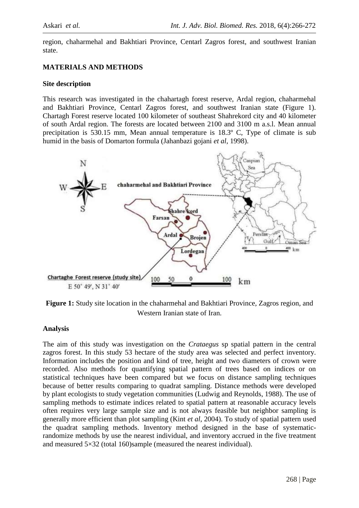region, chaharmehal and Bakhtiari Province, Centarl Zagros forest, and southwest Iranian state.

#### **MATERIALS AND METHODS**

#### **Site description**

This research was investigated in the chahartagh forest reserve, Ardal region, chaharmehal and Bakhtiari Province, Centarl Zagros forest, and southwest Iranian state (Figure 1). Chartagh Forest reserve located 100 kilometer of southeast Shahrekord city and 40 kilometer of south Ardal region. The forests are located between 2100 and 3100 m a.s.l. Mean annual precipitation is 530.15 mm, Mean annual temperature is 18.3º C, Type of climate is sub humid in the basis of Domarton formula (Jahanbazi gojani *et al*, 1998).



**Figure 1:** Study site location in the chaharmehal and Bakhtiari Province, Zagros region, and Western Iranian state of Iran.

#### **Analysis**

The aim of this study was investigation on the *Crataegus* sp spatial pattern in the central zagros forest. In this study 53 hectare of the study area was selected and perfect inventory. Information includes the position and kind of tree, height and two diameters of crown were recorded. Also methods for quantifying spatial pattern of trees based on indices or on statistical techniques have been compared but we focus on distance sampling techniques because of better results comparing to quadrat sampling. Distance methods were developed by plant ecologists to study vegetation communities (Ludwig and Reynolds, 1988). The use of sampling methods to estimate indices related to spatial pattern at reasonable accuracy levels often requires very large sample size and is not always feasible but neighbor sampling is generally more efficient than plot sampling (Kint *et al*, 2004). To study of spatial pattern used the quadrat sampling methods. Inventory method designed in the base of systematicrandomize methods by use the nearest individual, and inventory accrued in the five treatment and measured 5×32 (total 160)sample (measured the nearest individual).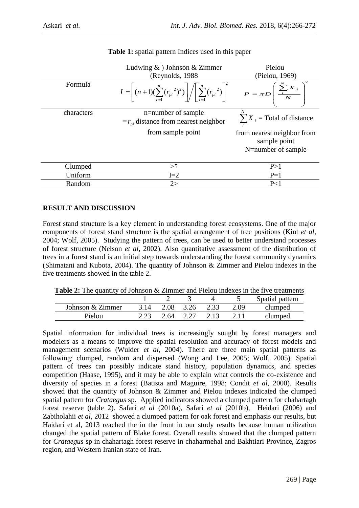|            | Ludwing $\&$ ) Johnson $\&$ Zimmer                                                                                                                                      | Pielou<br>(Pielou, 1969)                                         |  |  |
|------------|-------------------------------------------------------------------------------------------------------------------------------------------------------------------------|------------------------------------------------------------------|--|--|
|            | (Reynolds, 1988)                                                                                                                                                        |                                                                  |  |  |
| Formula    | $I = \left[ (n+1) (\sum_{i=1}^{n} (r_{pi}^{2})^{2}) \right] / \left[ \sum_{i=1}^{n} (r_{pi}^{2}) \right]^{2}$ $P = \pi D \left[ \frac{\sum_{i=1}^{N} X_{i}}{N} \right]$ |                                                                  |  |  |
| characters | n=number of sample<br>$=r_{ni}$ distance from nearest neighbor                                                                                                          | $\sum X_i$ = Total of distance                                   |  |  |
|            | from sample point                                                                                                                                                       | from nearest neighbor from<br>sample point<br>N=number of sample |  |  |
| Clumped    | $>$ ٢                                                                                                                                                                   | P>1                                                              |  |  |
| Uniform    | $I=2$                                                                                                                                                                   | $P=1$                                                            |  |  |
| Random     | 2>                                                                                                                                                                      | P<1                                                              |  |  |

**Table 1:** spatial pattern Indices used in this paper

# **RESULT AND DISCUSSION**

Forest stand structure is a key element in understanding forest ecosystems. One of the major components of forest stand structure is the spatial arrangement of tree positions (Kint *et al*, 2004; Wolf, 2005). Studying the pattern of trees, can be used to better understand processes of forest structure (Nelson *et al*, 2002). Also quantitative assessment of the distribution of trees in a forest stand is an initial step towards understanding the forest community dynamics (Shimatani and Kubota, 2004). The quantity of Johnson & Zimmer and Pielou indexes in the five treatments showed in the table 2.

**Table 2:** The quantity of Johnson & Zimmer and Pielou indexes in the five treatments

|                  |      |           |      |      | Spatial pattern |
|------------------|------|-----------|------|------|-----------------|
| Johnson & Zimmer | 2.08 | 3.26      |      | 2.09 | clumped         |
| Pielou           |      | 2.64 2.27 | 2.13 |      | clumped         |

Spatial information for individual trees is increasingly sought by forest managers and modelers as a means to improve the spatial resolution and accuracy of forest models and management scenarios (Wulder *et al*, 2004). There are three main spatial patterns as following: clumped, random and dispersed (Wong and Lee, 2005; Wolf, 2005). Spatial pattern of trees can possibly indicate stand history, population dynamics, and species competition (Haase, 1995), and it may be able to explain what controls the co-existence and diversity of species in a forest (Batista and Maguire, 1998; Condit *et al*, 2000). Results showed that the quantity of Johnson & Zimmer and Pielou indexes indicated the clumped spatial pattern for *Crataegus* sp. Applied indicators showed a clumped pattern for chahartagh forest reserve (table 2). Safari *et al* (2010a), Safari *et al* (2010b), Heidari (2006) and Zabiholahii *et al*, 2012 showed a clumped pattern for oak forest and emphasis our results, but Haidari et al, 2013 reached the in the front in our study results because human utilization changed the spatial pattern of Blake forest. Overall results showed that the clumped pattern for *Crataegus* sp in chahartagh forest reserve in chaharmehal and Bakhtiari Province, Zagros region, and Western Iranian state of Iran.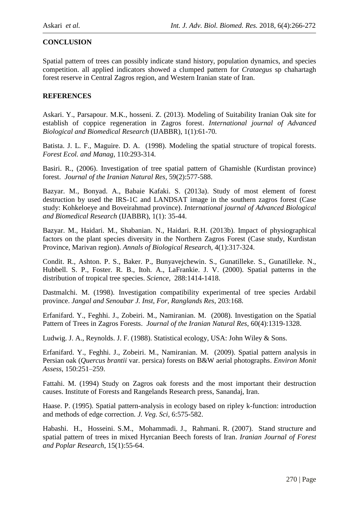# **CONCLUSION**

Spatial pattern of trees can possibly indicate stand history, population dynamics, and species competition. all applied indicators showed a clumped pattern for *Crataegus* sp chahartagh forest reserve in Central Zagros region, and Western Iranian state of Iran.

## **REFERENCES**

Askari. Y., Parsapour. M.K., hosseni. Z. (2013). Modeling of Suitability Iranian Oak site for establish of coppice regeneration in Zagros forest. *International journal of Advanced Biological and Biomedical Research* (IJABBR), 1(1):61-70.

Batista. J. L. F., Maguire. D. A. (1998). Modeling the spatial structure of tropical forests. *Forest Ecol. and Manag*, 110:293-314.

Basiri. R., (2006). Investigation of tree spatial pattern of Ghamishle (Kurdistan province) forest. *Journal of the Iranian Natural Res*, 59(2):577-588.

Bazyar. M., Bonyad. A., Babaie Kafaki. S. (2013a). Study of most element of forest destruction by used the IRS-1C and LANDSAT image in the southern zagros forest (Case study: Kohkeloeye and Boveirahmad province). *International journal of Advanced Biological and Biomedical Research* (IJABBR), 1(1): 35-44.

Bazyar. M., Haidari. M., Shabanian. N., Haidari. R.H. (2013b). Impact of physiographical factors on the plant species diversity in the Northern Zagros Forest (Case study, Kurdistan Province, Marivan region). *Annals of Biological Research*, 4(1):317-324.

Condit. R., Ashton. P. S., Baker. P., Bunyavejchewin. S., Gunatilleke. S., Gunatilleke. N., Hubbell. S. P., Foster. R. B., Itoh. A., LaFrankie. J. V. (2000). Spatial patterns in the distribution of tropical tree species. *Science*, 288:1414-1418.

Dastmalchi. M. (1998). Investigation compatibility experimental of tree species Ardabil province. *Jangal and Senoubar J. Inst, For, Ranglands Res*, 203:168.

Erfanifard. Y., Feghhi. J., Zobeiri. M., Namiranian. M. (2008). Investigation on the Spatial Pattern of Trees in Zagros Forests. *Journal of the Iranian Natural Res*, 60(4):1319-1328.

Ludwig. J. A., Reynolds. J. F. (1988). Statistical ecology, USA: John Wiley & Sons.

Erfanifard. Y., Feghhi. J., Zobeiri. M., Namiranian. M. (2009). Spatial pattern analysis in Persian oak (*Quercus brantii* var. persica) forests on B&W aerial photographs. *Environ Monit Assess*, 150:251–259.

Fattahi. M. (1994) Study on Zagros oak forests and the most important their destruction causes. Institute of Forests and Rangelands Research press, Sanandaj, Iran.

Haase. P. (1995). Spatial pattern-analysis in ecology based on ripley k-function: introduction and methods of edge correction. *J. Veg. Sci*, 6:575-582.

Habashi. H., Hosseini. S.M., Mohammadi. J., Rahmani. R. (2007). Stand structure and spatial pattern of trees in mixed Hyrcanian Beech forests of Iran. *Iranian Journal of Forest and Poplar Research*, 15(1):55-64.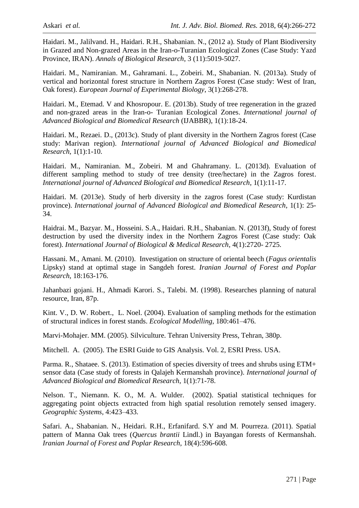Haidari. M., Jalilvand. H., Haidari. R.H., Shabanian. N., (2012 a). Study of Plant Biodiversity in Grazed and Non-grazed Areas in the Iran-o-Turanian Ecological Zones (Case Study: Yazd Province, IRAN). *Annals of Biological Research*, 3 (11):5019-5027.

Haidari. M., Namiranian. M., Gahramani. L., Zobeiri. M., Shabanian. N. (2013a). Study of vertical and horizontal forest structure in Northern Zagros Forest (Case study: West of Iran, Oak forest). *European Journal of Experimental Biology*, 3(1):268-278.

Haidari. M., Etemad. V and Khosropour. E. (2013b). Study of tree regeneration in the grazed and non-grazed areas in the Iran-o- Turanian Ecological Zones. *International journal of Advanced Biological and Biomedical Research* (IJABBR), 1(1):18-24.

Haidari. M., Rezaei. D., (2013c). Study of plant diversity in the Northern Zagros forest (Case study: Marivan region). *International journal of Advanced Biological and Biomedical Research*, 1(1):1-10.

Haidari. M., Namiranian. M., Zobeiri. M and Ghahramany. L. (2013d). Evaluation of different sampling method to study of tree density (tree/hectare) in the Zagros forest. *International journal of Advanced Biological and Biomedical Research*, 1(1):11-17.

Haidari. M. (2013e). Study of herb diversity in the zagros forest (Case study: Kurdistan province). *International journal of Advanced Biological and Biomedical Research*, 1(1): 25- 34.

Haidrai. M., Bazyar. M., Hosseini. S.A., Haidari. R.H., Shabanian. N. (2013f), Study of forest destruction by used the diversity index in the Northern Zagros Forest (Case study: Oak forest). *International Journal of Biological & Medical Research*, 4(1):2720- 2725.

Hassani. M., Amani. M. (2010). Investigation on structure of oriental beech (*Fagus orientalis*  Lipsky) stand at optimal stage in Sangdeh forest. *Iranian Journal of Forest and Poplar Research*, 18:163-176.

Jahanbazi gojani. H., Ahmadi Karori. S., Talebi. M. (1998). Researches planning of natural resource, Iran, 87p.

Kint. V., D. W. Robert., L. Noel. (2004). Evaluation of sampling methods for the estimation of structural indices in forest stands. *Ecological Modelling*, 180:461–476.

Marvi-Mohajer. MM. (2005). Silviculture. Tehran University Press, Tehran, 380p.

Mitchell. A. (2005). The ESRI Guide to GIS Analysis. Vol. 2, ESRI Press. USA.

Parma. R., Shataee. S. (2013). Estimation of species diversity of trees and shrubs using ETM+ sensor data (Case study of forests in Qalajeh Kermanshah province). *International journal of Advanced Biological and Biomedical Research*, 1(1):71-78.

Nelson. T., Niemann. K. O., M. A. Wulder. (2002). Spatial statistical techniques for aggregating point objects extracted from high spatial resolution remotely sensed imagery. *Geographic Systems*, 4:423–433.

Safari. A., Shabanian. N., Heidari. R.H., Erfanifard. S.Y and M. Pourreza. (2011). Spatial pattern of Manna Oak trees (*Quercus brantii* Lindl.) in Bayangan forests of Kermanshah. *Iranian Journal of Forest and Poplar Research*, 18(4):596-608.